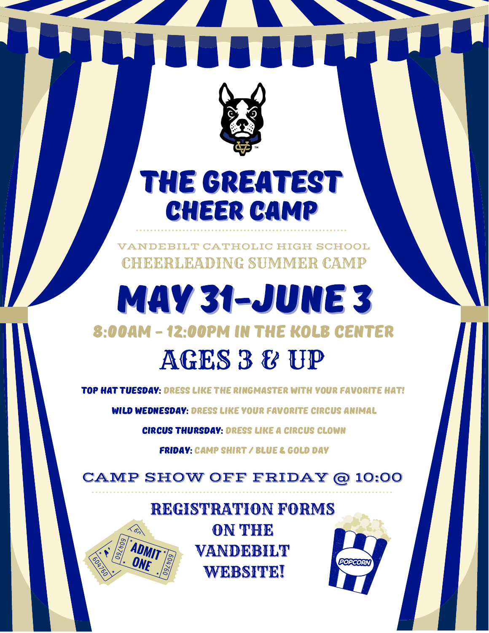

## THE GREATEST CHEER CAMP

VANDEBILT CATHOLIC HIGH SCHOOL CHEERLEADING SUMMER CAMP

## MAY 31-JUNE 3 8:00AM - 12:00PM IN THE KOLB CENTER AGES 3 & UP

TOP HAT TUESDAY: DRESS LIKE THE RINGMASTER WITH YOUR FAVORITE HAT!

WILD WEDNESDAY: DRESS LIKE YOUR FAVORITE CIRCUS ANIMAL

circus THURSDAY: dress like a circus clown

FRIDAY: CAMP SHIRT / BLUE & GOLD DAY

CAMP SHOW OFF FRIDAY @ 10:00

## REGISTRATION FORMS ON THE VANDEBILT **WEBSITE!**

POPCO